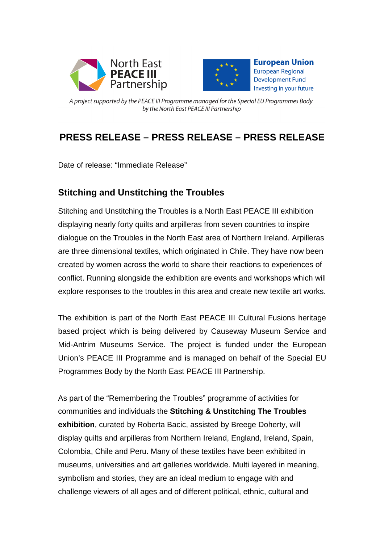



**European Union European Regional Development Fund** Investing in your future

A project supported by the PEACE III Programme managed for the Special EU Programmes Body by the North East PEACE III Partnership

# **PRESS RELEASE – PRESS RELEASE – PRESS RELEASE**

Date of release: "Immediate Release"

## **Stitching and Unstitching the Troubles**

Stitching and Unstitching the Troubles is a North East PEACE III exhibition displaying nearly forty quilts and arpilleras from seven countries to inspire dialogue on the Troubles in the North East area of Northern Ireland. Arpilleras are three dimensional textiles, which originated in Chile. They have now been created by women across the world to share their reactions to experiences of conflict. Running alongside the exhibition are events and workshops which will explore responses to the troubles in this area and create new textile art works.

The exhibition is part of the North East PEACE III Cultural Fusions heritage based project which is being delivered by Causeway Museum Service and Mid-Antrim Museums Service. The project is funded under the European Union's PEACE III Programme and is managed on behalf of the Special EU Programmes Body by the North East PEACE III Partnership.

As part of the "Remembering the Troubles" programme of activities for communities and individuals the **Stitching & Unstitching The Troubles exhibition**, curated by Roberta Bacic, assisted by Breege Doherty, will display quilts and arpilleras from Northern Ireland, England, Ireland, Spain, Colombia, Chile and Peru. Many of these textiles have been exhibited in museums, universities and art galleries worldwide. Multi layered in meaning, symbolism and stories, they are an ideal medium to engage with and challenge viewers of all ages and of different political, ethnic, cultural and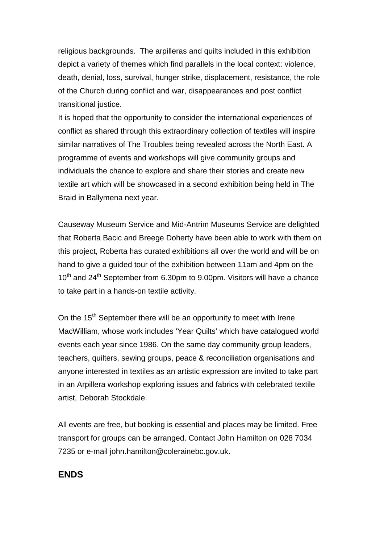religious backgrounds. The arpilleras and quilts included in this exhibition depict a variety of themes which find parallels in the local context: violence, death, denial, loss, survival, hunger strike, displacement, resistance, the role of the Church during conflict and war, disappearances and post conflict transitional justice.

It is hoped that the opportunity to consider the international experiences of conflict as shared through this extraordinary collection of textiles will inspire similar narratives of The Troubles being revealed across the North East. A programme of events and workshops will give community groups and individuals the chance to explore and share their stories and create new textile art which will be showcased in a second exhibition being held in The Braid in Ballymena next year.

Causeway Museum Service and Mid-Antrim Museums Service are delighted that Roberta Bacic and Breege Doherty have been able to work with them on this project, Roberta has curated exhibitions all over the world and will be on hand to give a guided tour of the exhibition between 11am and 4pm on the  $10<sup>th</sup>$  and 24<sup>th</sup> September from 6.30pm to 9.00pm. Visitors will have a chance to take part in a hands-on textile activity.

On the 15<sup>th</sup> September there will be an opportunity to meet with Irene MacWilliam, whose work includes 'Year Quilts' which have catalogued world events each year since 1986. On the same day community group leaders, teachers, quilters, sewing groups, peace & reconciliation organisations and anyone interested in textiles as an artistic expression are invited to take part in an Arpillera workshop exploring issues and fabrics with celebrated textile artist, Deborah Stockdale.

All events are free, but booking is essential and places may be limited. Free transport for groups can be arranged. Contact John Hamilton on 028 7034 7235 or e-mail john.hamilton@colerainebc.gov.uk.

## **ENDS**